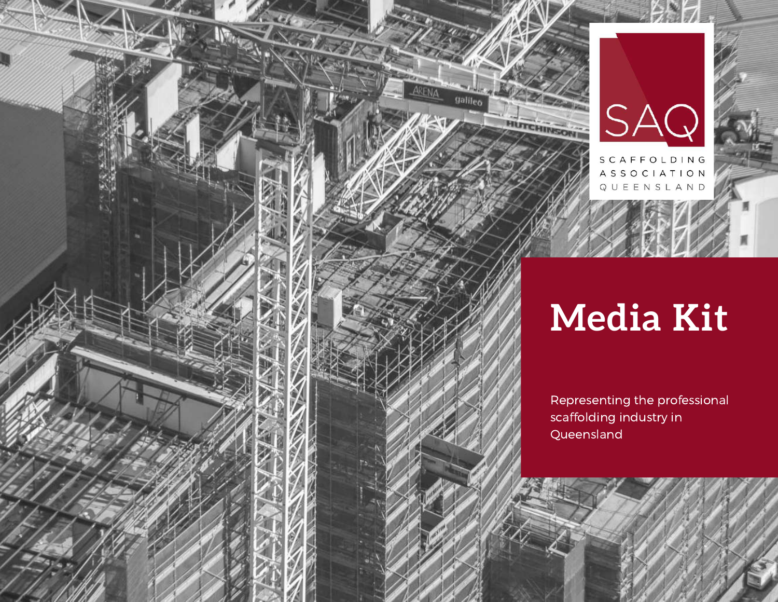



galileo

HUTCHINSON

QUEENSLAND

## **Media Kit**

Representing the professional scaffolding industry in Queensland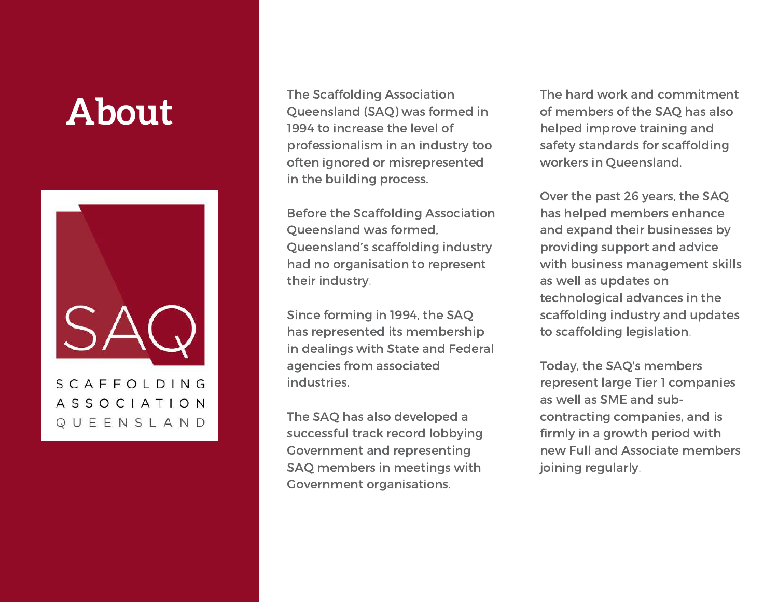### **About**



The Scaffolding Association Queensland (SAQ) was formed in 1994 to increase the level of professionalism in an industry too often ignored or misrepresented in the building process.

Before the Scaffolding Association Queensland was formed, Queensland's scaffolding industry had no organisation to represent their industry.

Since forming in 1994, the SAQ has represented its membership in dealings with State and Federal agencies from associated industries.

The SAQ has also developed a successful track record lobbying Government and representing SAQ members in meetings with Government organisations.

The hard work and commitment of members of the SAQ has also helped improve training and safety standards for scaffolding workers in Queensland.

Over the past 26 years, the SAQ has helped members enhance and expand their businesses by providing support and advice with business management skills as well as updates on technological advances in the scaffolding industry and updates to scaffolding legislation.

Today, the SAQ's members represent large Tier 1 companies as well as SME and subcontracting companies, and is firmly in a growth period with new Full and Associate members joining regularly.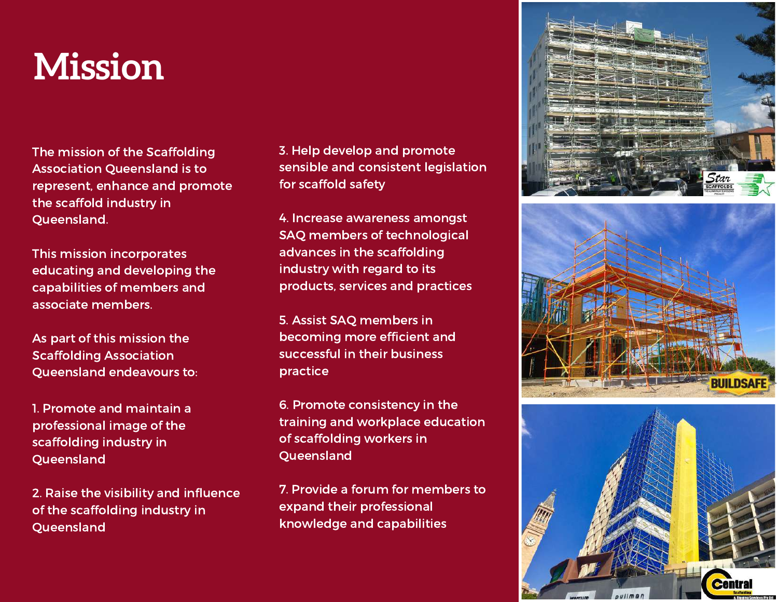### **Mission**

The mission of the Scaffolding Association Queensland is to represent, enhance and promote the scaffold industry in Queensland.

This mission incorporates educating and developing the capabilities of members and associate members.

As part of this mission the Scaffolding Association Queensland endeavours to:

1. Promote and maintain a professional image of the scaffolding industry in Queensland

2. Raise the visibility and influence of the scaffolding industry in Queensland

3. Help develop and promote sensible and consistent legislation for scaffold safety

SAQ members of technological 3F ONE CENTRAL BUILDING advances in the scaffolding industry with regard to its 4. Increase awareness amongst products, services and practices

5. Assist SAQ members in becoming more efficient and successful in their business practice

6. Promote consistency in the training and workplace education of scaffolding workers in Queensland

7. Provide a forum for members to expand their professional knowledge and capabilities





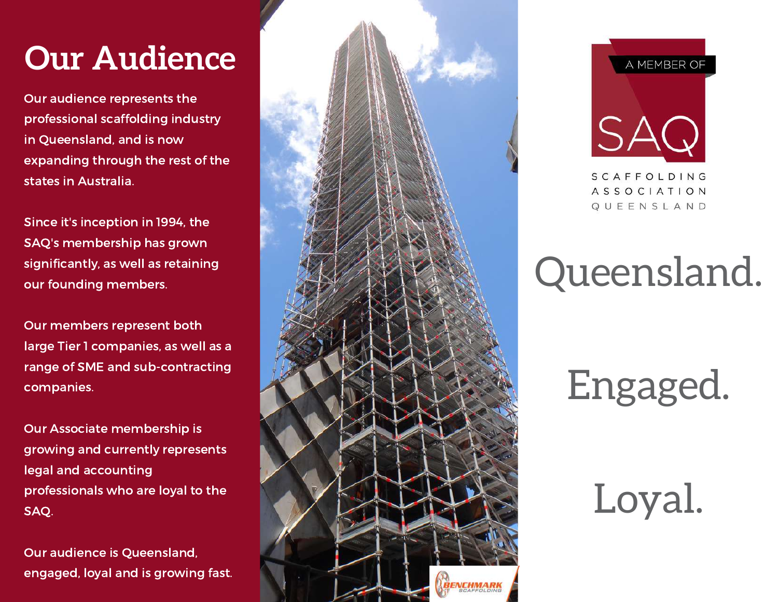### **Our Audience**

Our audience represents the professional scaffolding industry in Queensland, and is now expanding through the rest of the states in Australia.

Since it's inception in 1994, the SAQ's membership has grown significantly, as well as retaining our founding members.

Our members represent both large Tier 1 companies, as well as a range of SME and sub-contracting companies.

Our Associate membership is growing and currently represents legal and accounting professionals who are loyal to the SAQ.

Our audience is Queensland, engaged, loyal and is growing fast.





# Queensland.

Engaged.

Loyal.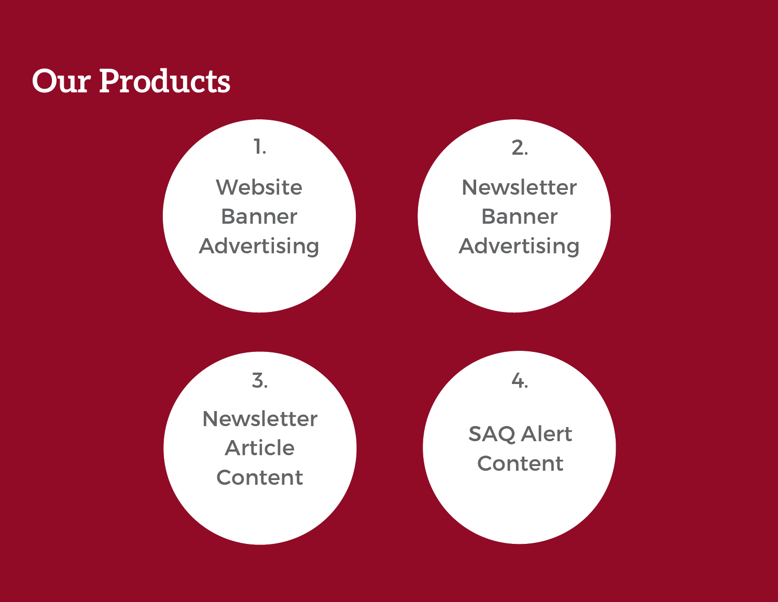

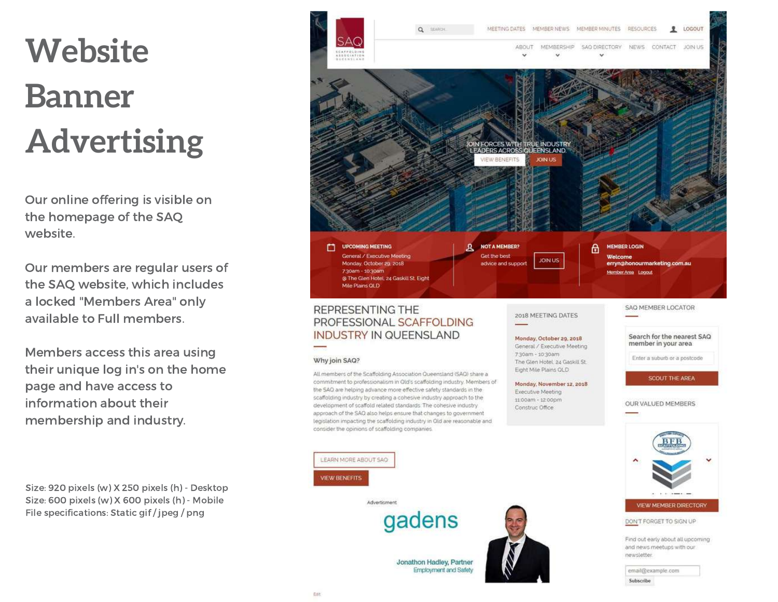# **Website Banner Advertising**

Our online offering is visible on the homepage of the SAQ website.

Our members are regular users of the SAQ website, which includes a locked "Members Area" only available to Full members.

Members access this area using their unique log in's on the home page and have access to information about their membership and industry.

Size: 920 pixels (w) X 250 pixels (h) - Desktop Size: 600 pixels (w) X 600 pixels (h) - Mobile File specifications: Static gif / jpeg / png

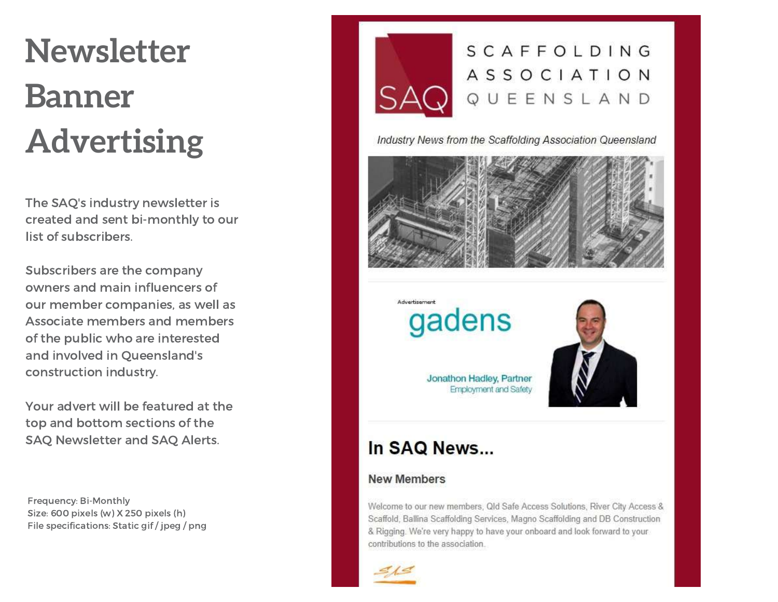# **Newsletter Banner Advertising**

The SAQ's industry newsletter is created and sent bi-monthly to our list of subscribers.

Subscribers are the company owners and main influencers of our member companies, as well as Associate members and members of the public who are interested and involved in Queensland's construction industry.

Your advert will be featured at the top and bottom sections of the SAQ Newsletter and SAQ Alerts.

Frequency: Bi-Monthly Size: 600 pixels (w) X 250 pixels (h) File specifications: Static gif / jpeg / png



Industry News from the Scaffolding Association Queensland



Advertisement gadens

> Jonathon Hadley, Partner **Employment and Safety**



#### In SAQ News...

#### **New Members**

Welcome to our new members, Qld Safe Access Solutions, River City Access & Scaffold, Ballina Scaffolding Services, Magno Scaffolding and DB Construction & Rigging. We're very happy to have your onboard and look forward to your contributions to the association.

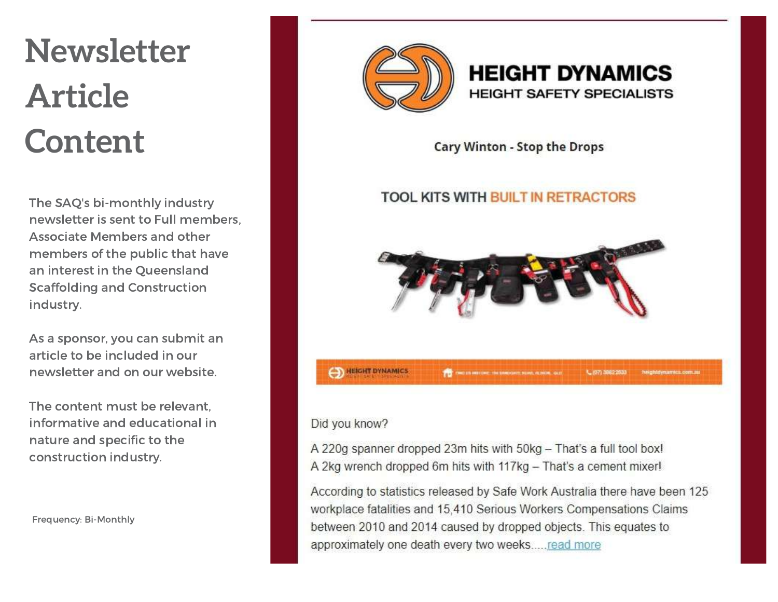## **Newsletter Article Content**

The SAQ's bi-monthly industry newsletter is sent to Full members, Associate Members and other members of the public that have an interest in the Queensland Scaffolding and Construction industry.

As a sponsor, you can submit an article to be included in our newsletter and on our website.

The content must be relevant, informative and educational in nature and specific to the construction industry.

Frequency: Bi-Monthly



#### **HEIGHT DYNAMICS HEIGHT SAFETY SPECIALISTS**

Cary Winton - Stop the Drops

#### **TOOL KITS WITH BUILT IN RETRACTORS**



#### Did you know?

A 220g spanner dropped 23m hits with 50kg - That's a full tool box! A 2kg wrench dropped 6m hits with 117kg - That's a cement mixer!

According to statistics released by Safe Work Australia there have been 125 workplace fatalities and 15,410 Serious Workers Compensations Claims between 2010 and 2014 caused by dropped objects. This equates to approximately one death every two weeks.....read more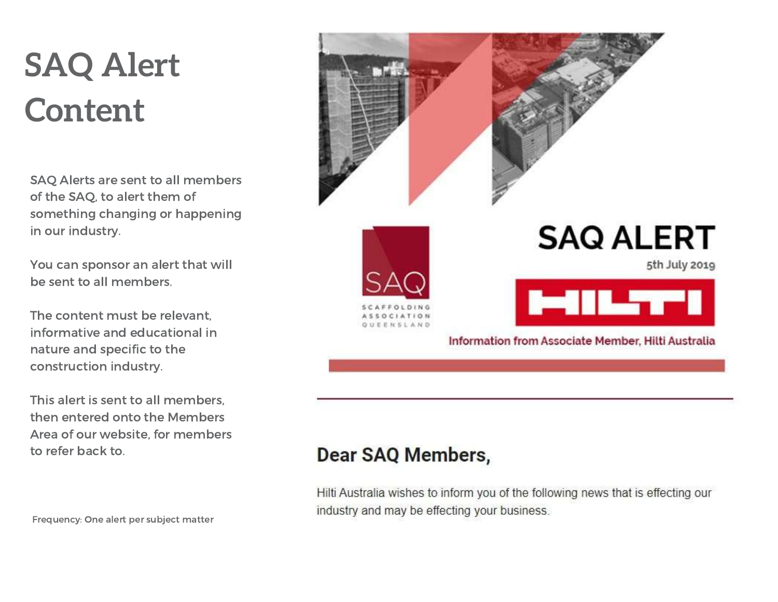## **SAQ Alert Content**

SAQ Alerts are sent to all members of the SAQ, to alert them of something changing or happening in our industry.

You can sponsor an alert that will be sent to all members.

The content must be relevant, informative and educational in nature and specific to the construction industry.

This alert is sent to all members, then entered onto the Members Area of our website, for members to refer back to.

Frequency: One alert per subject matter







5th July 2019



Information from Associate Member, Hilti Australia

#### **Dear SAQ Members,**

Hilti Australia wishes to inform you of the following news that is effecting our industry and may be effecting your business.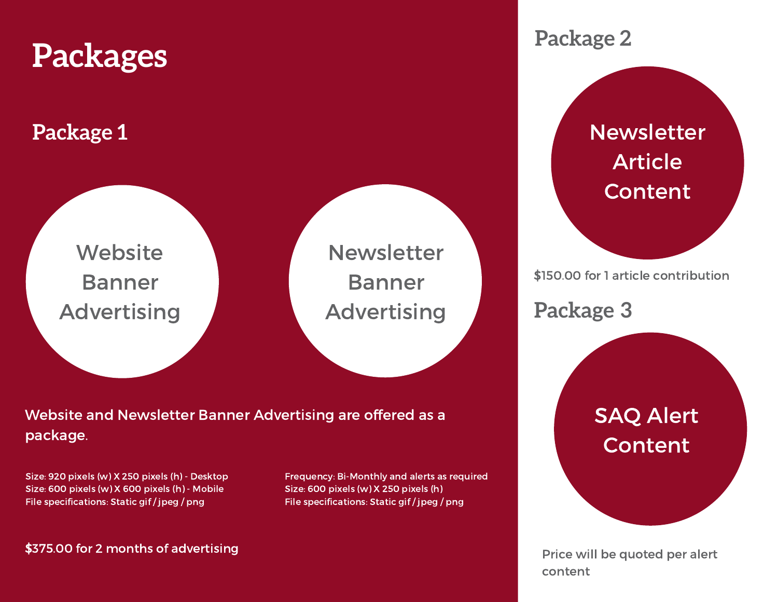

#### Website and Newsletter Banner Advertising are offered as a package.

Size: 920 pixels (w) X 250 pixels (h) - Desktop Size: 600 pixels (w) X 600 pixels (h) - Mobile File specifications: Static gif / jpeg / png

\$375.00 for 2 months of advertising

Frequency: Bi-Monthly and alerts as required Size: 600 pixels (w) X 250 pixels (h) File specifications: Static gif / jpeg / png

> Price will be quoted per alert content

**Content**